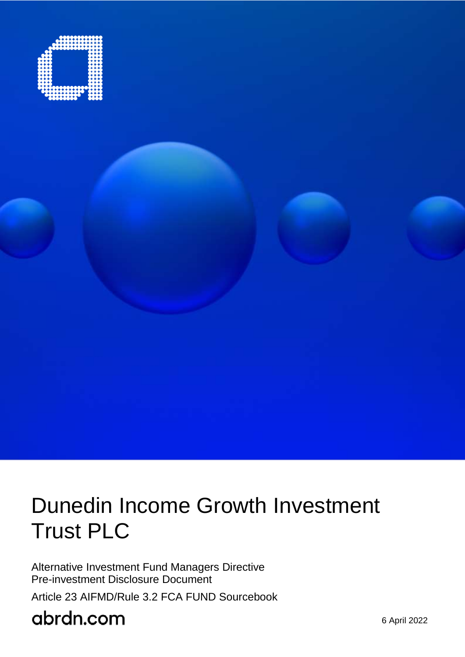

# Dunedin Income Growth Investment Trust PLC

Alternative Investment Fund Managers Directive Pre-investment Disclosure Document

Article 23 AIFMD/Rule 3.2 FCA FUND Sourcebook

# abrdn.com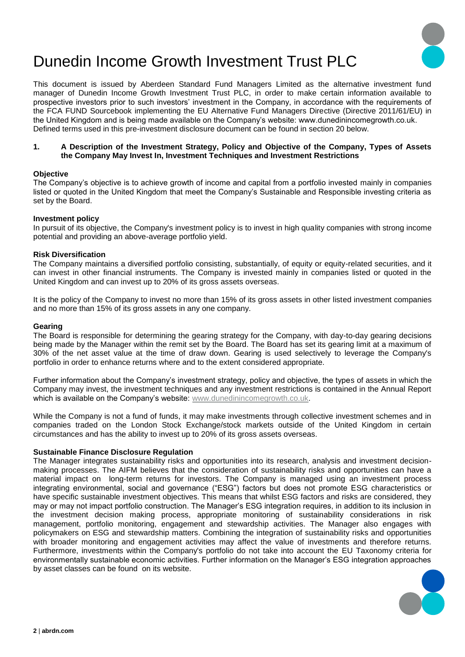

## Dunedin Income Growth Investment Trust PLC

This document is issued by Aberdeen Standard Fund Managers Limited as the alternative investment fund manager of Dunedin Income Growth Investment Trust PLC, in order to make certain information available to prospective investors prior to such investors' investment in the Company, in accordance with the requirements of the FCA FUND Sourcebook implementing the EU Alternative Fund Managers Directive (Directive 2011/61/EU) in the United Kingdom and is being made available on the Company's website: www.dunedinincomegrowth.co.uk. Defined terms used in this pre-investment disclosure document can be found in section 20 below.

#### **1. A Description of the Investment Strategy, Policy and Objective of the Company, Types of Assets the Company May Invest In, Investment Techniques and Investment Restrictions**

#### **Objective**

The Company's objective is to achieve growth of income and capital from a portfolio invested mainly in companies listed or quoted in the United Kingdom that meet the Company's Sustainable and Responsible investing criteria as set by the Board.

#### **Investment policy**

In pursuit of its objective, the Company's investment policy is to invest in high quality companies with strong income potential and providing an above-average portfolio yield.

#### **Risk Diversification**

The Company maintains a diversified portfolio consisting, substantially, of equity or equity-related securities, and it can invest in other financial instruments. The Company is invested mainly in companies listed or quoted in the United Kingdom and can invest up to 20% of its gross assets overseas.

It is the policy of the Company to invest no more than 15% of its gross assets in other listed investment companies and no more than 15% of its gross assets in any one company.

#### **Gearing**

The Board is responsible for determining the gearing strategy for the Company, with day-to-day gearing decisions being made by the Manager within the remit set by the Board. The Board has set its gearing limit at a maximum of 30% of the net asset value at the time of draw down. Gearing is used selectively to leverage the Company's portfolio in order to enhance returns where and to the extent considered appropriate.

Further information about the Company's investment strategy, policy and objective, the types of assets in which the Company may invest, the investment techniques and any investment restrictions is contained in the Annual Report which is available on the Company's website: [www.dunedinincomegrowth.co.uk.](http://www.dunedinincomegrowth.co.uk/)

While the Company is not a fund of funds, it may make investments through collective investment schemes and in companies traded on the London Stock Exchange/stock markets outside of the United Kingdom in certain circumstances and has the ability to invest up to 20% of its gross assets overseas.

#### **Sustainable Finance Disclosure Regulation**

The Manager integrates sustainability risks and opportunities into its research, analysis and investment decisionmaking processes. The AIFM believes that the consideration of sustainability risks and opportunities can have a material impact on long-term returns for investors. The Company is managed using an investment process integrating environmental, social and governance ("ESG") factors but does not promote ESG characteristics or have specific sustainable investment objectives. This means that whilst ESG factors and risks are considered, they may or may not impact portfolio construction. The Manager's ESG integration requires, in addition to its inclusion in the investment decision making process, appropriate monitoring of sustainability considerations in risk management, portfolio monitoring, engagement and stewardship activities. The Manager also engages with policymakers on ESG and stewardship matters. Combining the integration of sustainability risks and opportunities with broader monitoring and engagement activities may affect the value of investments and therefore returns. Furthermore, investments within the Company's portfolio do not take into account the EU Taxonomy criteria for environmentally sustainable economic activities. Further information on the Manager's ESG integration approaches by asset classes can be found on its website.

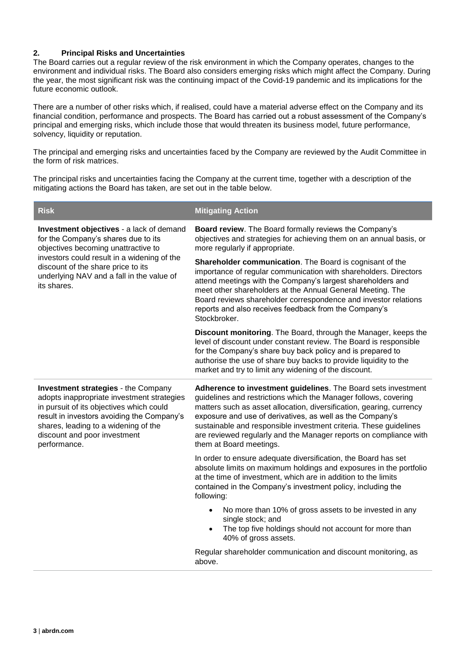#### **2. Principal Risks and Uncertainties**

The Board carries out a regular review of the risk environment in which the Company operates, changes to the environment and individual risks. The Board also considers emerging risks which might affect the Company. During the year, the most significant risk was the continuing impact of the Covid-19 pandemic and its implications for the future economic outlook.

There are a number of other risks which, if realised, could have a material adverse effect on the Company and its financial condition, performance and prospects. The Board has carried out a robust assessment of the Company's principal and emerging risks, which include those that would threaten its business model, future performance, solvency, liquidity or reputation.

The principal and emerging risks and uncertainties faced by the Company are reviewed by the Audit Committee in the form of risk matrices.

The principal risks and uncertainties facing the Company at the current time, together with a description of the mitigating actions the Board has taken, are set out in the table below.

| <b>Risk</b>                                                                                                                                                                                                                                                                | <b>Mitigating Action</b>                                                                                                                                                                                                                                                                                                                                                                                                                   |  |
|----------------------------------------------------------------------------------------------------------------------------------------------------------------------------------------------------------------------------------------------------------------------------|--------------------------------------------------------------------------------------------------------------------------------------------------------------------------------------------------------------------------------------------------------------------------------------------------------------------------------------------------------------------------------------------------------------------------------------------|--|
| Investment objectives - a lack of demand<br>for the Company's shares due to its<br>objectives becoming unattractive to<br>investors could result in a widening of the<br>discount of the share price to its<br>underlying NAV and a fall in the value of<br>its shares.    | Board review. The Board formally reviews the Company's<br>objectives and strategies for achieving them on an annual basis, or<br>more regularly if appropriate.                                                                                                                                                                                                                                                                            |  |
|                                                                                                                                                                                                                                                                            | Shareholder communication. The Board is cognisant of the<br>importance of regular communication with shareholders. Directors<br>attend meetings with the Company's largest shareholders and<br>meet other shareholders at the Annual General Meeting. The<br>Board reviews shareholder correspondence and investor relations<br>reports and also receives feedback from the Company's<br>Stockbroker.                                      |  |
|                                                                                                                                                                                                                                                                            | Discount monitoring. The Board, through the Manager, keeps the<br>level of discount under constant review. The Board is responsible<br>for the Company's share buy back policy and is prepared to<br>authorise the use of share buy backs to provide liquidity to the<br>market and try to limit any widening of the discount.                                                                                                             |  |
| <b>Investment strategies - the Company</b><br>adopts inappropriate investment strategies<br>in pursuit of its objectives which could<br>result in investors avoiding the Company's<br>shares, leading to a widening of the<br>discount and poor investment<br>performance. | Adherence to investment guidelines. The Board sets investment<br>guidelines and restrictions which the Manager follows, covering<br>matters such as asset allocation, diversification, gearing, currency<br>exposure and use of derivatives, as well as the Company's<br>sustainable and responsible investment criteria. These guidelines<br>are reviewed regularly and the Manager reports on compliance with<br>them at Board meetings. |  |
|                                                                                                                                                                                                                                                                            | In order to ensure adequate diversification, the Board has set<br>absolute limits on maximum holdings and exposures in the portfolio<br>at the time of investment, which are in addition to the limits<br>contained in the Company's investment policy, including the<br>following:                                                                                                                                                        |  |
|                                                                                                                                                                                                                                                                            | No more than 10% of gross assets to be invested in any<br>$\bullet$<br>single stock; and<br>The top five holdings should not account for more than<br>40% of gross assets.                                                                                                                                                                                                                                                                 |  |
|                                                                                                                                                                                                                                                                            | Regular shareholder communication and discount monitoring, as<br>above.                                                                                                                                                                                                                                                                                                                                                                    |  |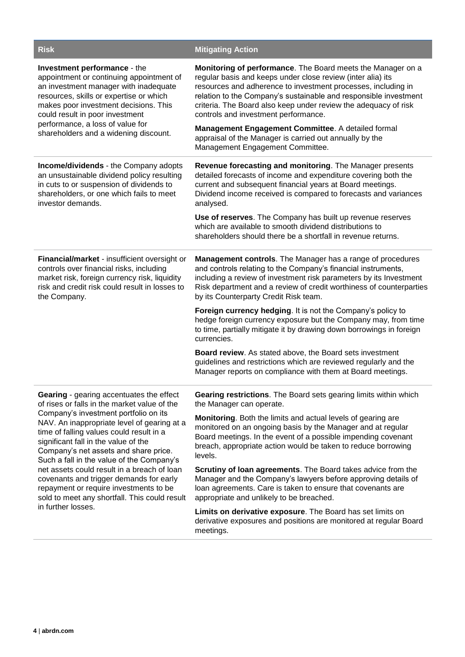| <b>Risk</b>                                                                                                                                                                                                                                                                                                                                                       | <b>Mitigating Action</b>                                                                                                                                                                                                                                                                                                                                                   |
|-------------------------------------------------------------------------------------------------------------------------------------------------------------------------------------------------------------------------------------------------------------------------------------------------------------------------------------------------------------------|----------------------------------------------------------------------------------------------------------------------------------------------------------------------------------------------------------------------------------------------------------------------------------------------------------------------------------------------------------------------------|
| Investment performance - the<br>appointment or continuing appointment of<br>an investment manager with inadequate<br>resources, skills or expertise or which<br>makes poor investment decisions. This<br>could result in poor investment<br>performance, a loss of value for<br>shareholders and a widening discount.                                             | Monitoring of performance. The Board meets the Manager on a<br>regular basis and keeps under close review (inter alia) its<br>resources and adherence to investment processes, including in<br>relation to the Company's sustainable and responsible investment<br>criteria. The Board also keep under review the adequacy of risk<br>controls and investment performance. |
|                                                                                                                                                                                                                                                                                                                                                                   | Management Engagement Committee. A detailed formal<br>appraisal of the Manager is carried out annually by the<br>Management Engagement Committee.                                                                                                                                                                                                                          |
| <b>Income/dividends - the Company adopts</b><br>an unsustainable dividend policy resulting<br>in cuts to or suspension of dividends to<br>shareholders, or one which fails to meet<br>investor demands.                                                                                                                                                           | Revenue forecasting and monitoring. The Manager presents<br>detailed forecasts of income and expenditure covering both the<br>current and subsequent financial years at Board meetings.<br>Dividend income received is compared to forecasts and variances<br>analysed.                                                                                                    |
|                                                                                                                                                                                                                                                                                                                                                                   | Use of reserves. The Company has built up revenue reserves<br>which are available to smooth dividend distributions to<br>shareholders should there be a shortfall in revenue returns.                                                                                                                                                                                      |
| Financial/market - insufficient oversight or<br>controls over financial risks, including<br>market risk, foreign currency risk, liquidity<br>risk and credit risk could result in losses to<br>the Company.                                                                                                                                                       | Management controls. The Manager has a range of procedures<br>and controls relating to the Company's financial instruments,<br>including a review of investment risk parameters by its Investment<br>Risk department and a review of credit worthiness of counterparties<br>by its Counterparty Credit Risk team.                                                          |
|                                                                                                                                                                                                                                                                                                                                                                   | Foreign currency hedging. It is not the Company's policy to<br>hedge foreign currency exposure but the Company may, from time<br>to time, partially mitigate it by drawing down borrowings in foreign<br>currencies.                                                                                                                                                       |
|                                                                                                                                                                                                                                                                                                                                                                   | Board review. As stated above, the Board sets investment<br>guidelines and restrictions which are reviewed regularly and the<br>Manager reports on compliance with them at Board meetings.                                                                                                                                                                                 |
| <b>Gearing</b> - gearing accentuates the effect<br>of rises or falls in the market value of the<br>Company's investment portfolio on its<br>NAV. An inappropriate level of gearing at a<br>time of falling values could result in a<br>significant fall in the value of the<br>Company's net assets and share price.<br>Such a fall in the value of the Company's | Gearing restrictions. The Board sets gearing limits within which<br>the Manager can operate.                                                                                                                                                                                                                                                                               |
|                                                                                                                                                                                                                                                                                                                                                                   | Monitoring. Both the limits and actual levels of gearing are<br>monitored on an ongoing basis by the Manager and at regular<br>Board meetings. In the event of a possible impending covenant<br>breach, appropriate action would be taken to reduce borrowing<br>levels.                                                                                                   |
| net assets could result in a breach of loan<br>covenants and trigger demands for early<br>repayment or require investments to be<br>sold to meet any shortfall. This could result                                                                                                                                                                                 | Scrutiny of loan agreements. The Board takes advice from the<br>Manager and the Company's lawyers before approving details of<br>loan agreements. Care is taken to ensure that covenants are<br>appropriate and unlikely to be breached.                                                                                                                                   |
| in further losses.                                                                                                                                                                                                                                                                                                                                                | Limits on derivative exposure. The Board has set limits on<br>derivative exposures and positions are monitored at regular Board<br>meetings.                                                                                                                                                                                                                               |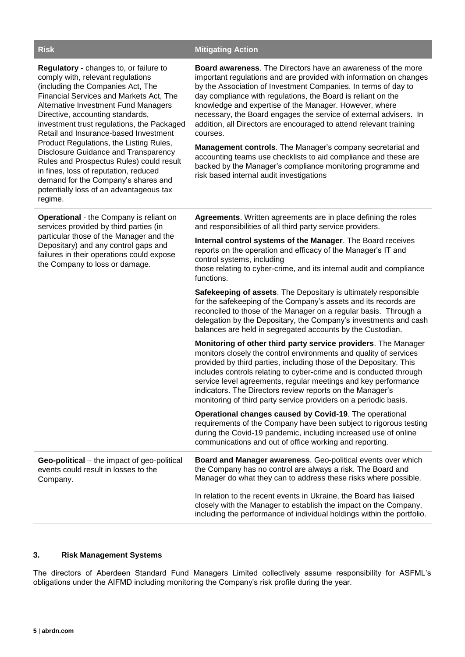#### **Risk Mitigating Action**

| Regulatory - changes to, or failure to<br>comply with, relevant regulations<br>(including the Companies Act, The<br>Financial Services and Markets Act, The<br><b>Alternative Investment Fund Managers</b><br>Directive, accounting standards,<br>investment trust regulations, the Packaged<br>Retail and Insurance-based Investment<br>Product Regulations, the Listing Rules,<br>Disclosure Guidance and Transparency<br>Rules and Prospectus Rules) could result<br>in fines, loss of reputation, reduced<br>demand for the Company's shares and<br>potentially loss of an advantageous tax<br>regime. | <b>Board awareness.</b> The Directors have an awareness of the more<br>important regulations and are provided with information on changes<br>by the Association of Investment Companies. In terms of day to<br>day compliance with regulations, the Board is reliant on the<br>knowledge and expertise of the Manager. However, where<br>necessary, the Board engages the service of external advisers. In<br>addition, all Directors are encouraged to attend relevant training<br>courses.<br>Management controls. The Manager's company secretariat and<br>accounting teams use checklists to aid compliance and these are<br>backed by the Manager's compliance monitoring programme and<br>risk based internal audit investigations |
|------------------------------------------------------------------------------------------------------------------------------------------------------------------------------------------------------------------------------------------------------------------------------------------------------------------------------------------------------------------------------------------------------------------------------------------------------------------------------------------------------------------------------------------------------------------------------------------------------------|------------------------------------------------------------------------------------------------------------------------------------------------------------------------------------------------------------------------------------------------------------------------------------------------------------------------------------------------------------------------------------------------------------------------------------------------------------------------------------------------------------------------------------------------------------------------------------------------------------------------------------------------------------------------------------------------------------------------------------------|
| <b>Operational</b> - the Company is reliant on<br>services provided by third parties (in<br>particular those of the Manager and the<br>Depositary) and any control gaps and<br>failures in their operations could expose<br>the Company to loss or damage.                                                                                                                                                                                                                                                                                                                                                 | <b>Agreements.</b> Written agreements are in place defining the roles<br>and responsibilities of all third party service providers.                                                                                                                                                                                                                                                                                                                                                                                                                                                                                                                                                                                                      |
|                                                                                                                                                                                                                                                                                                                                                                                                                                                                                                                                                                                                            | Internal control systems of the Manager. The Board receives<br>reports on the operation and efficacy of the Manager's IT and<br>control systems, including<br>those relating to cyber-crime, and its internal audit and compliance<br>functions.                                                                                                                                                                                                                                                                                                                                                                                                                                                                                         |
|                                                                                                                                                                                                                                                                                                                                                                                                                                                                                                                                                                                                            | <b>Safekeeping of assets.</b> The Depositary is ultimately responsible<br>for the safekeeping of the Company's assets and its records are<br>reconciled to those of the Manager on a regular basis. Through a<br>delegation by the Depositary, the Company's investments and cash<br>balances are held in segregated accounts by the Custodian.                                                                                                                                                                                                                                                                                                                                                                                          |
|                                                                                                                                                                                                                                                                                                                                                                                                                                                                                                                                                                                                            | Monitoring of other third party service providers. The Manager<br>monitors closely the control environments and quality of services<br>provided by third parties, including those of the Depositary. This<br>includes controls relating to cyber-crime and is conducted through<br>service level agreements, regular meetings and key performance<br>indicators. The Directors review reports on the Manager's<br>monitoring of third party service providers on a periodic basis.                                                                                                                                                                                                                                                       |
|                                                                                                                                                                                                                                                                                                                                                                                                                                                                                                                                                                                                            | Operational changes caused by Covid-19. The operational<br>requirements of the Company have been subject to rigorous testing<br>during the Covid-19 pandemic, including increased use of online<br>communications and out of office working and reporting.                                                                                                                                                                                                                                                                                                                                                                                                                                                                               |
| Geo-political – the impact of geo-political<br>events could result in losses to the<br>Company.                                                                                                                                                                                                                                                                                                                                                                                                                                                                                                            | Board and Manager awareness. Geo-political events over which<br>the Company has no control are always a risk. The Board and<br>Manager do what they can to address these risks where possible.                                                                                                                                                                                                                                                                                                                                                                                                                                                                                                                                           |
|                                                                                                                                                                                                                                                                                                                                                                                                                                                                                                                                                                                                            | In relation to the recent events in Ukraine, the Board has liaised<br>closely with the Manager to establish the impact on the Company,<br>including the performance of individual holdings within the portfolio.                                                                                                                                                                                                                                                                                                                                                                                                                                                                                                                         |
|                                                                                                                                                                                                                                                                                                                                                                                                                                                                                                                                                                                                            |                                                                                                                                                                                                                                                                                                                                                                                                                                                                                                                                                                                                                                                                                                                                          |

#### **3. Risk Management Systems**

The directors of Aberdeen Standard Fund Managers Limited collectively assume responsibility for ASFML's obligations under the AIFMD including monitoring the Company's risk profile during the year.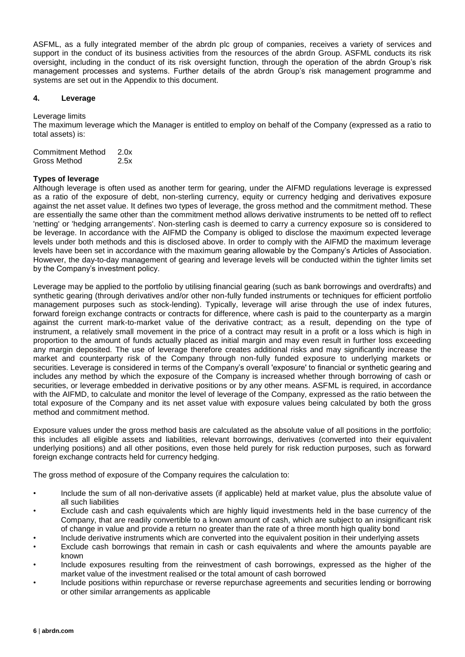ASFML, as a fully integrated member of the abrdn plc group of companies, receives a variety of services and support in the conduct of its business activities from the resources of the abrdn Group. ASFML conducts its risk oversight, including in the conduct of its risk oversight function, through the operation of the abrdn Group's risk management processes and systems. Further details of the abrdn Group's risk management programme and systems are set out in the Appendix to this document.

#### **4. Leverage**

Leverage limits

The maximum leverage which the Manager is entitled to employ on behalf of the Company (expressed as a ratio to total assets) is:

| Commitment Method | 2.0x |
|-------------------|------|
| Gross Method      | 2.5x |

#### **Types of leverage**

Although leverage is often used as another term for gearing, under the AIFMD regulations leverage is expressed as a ratio of the exposure of debt, non-sterling currency, equity or currency hedging and derivatives exposure against the net asset value. It defines two types of leverage, the gross method and the commitment method. These are essentially the same other than the commitment method allows derivative instruments to be netted off to reflect 'netting' or 'hedging arrangements'. Non-sterling cash is deemed to carry a currency exposure so is considered to be leverage. In accordance with the AIFMD the Company is obliged to disclose the maximum expected leverage levels under both methods and this is disclosed above. In order to comply with the AIFMD the maximum leverage levels have been set in accordance with the maximum gearing allowable by the Company's Articles of Association. However, the day-to-day management of gearing and leverage levels will be conducted within the tighter limits set by the Company's investment policy.

Leverage may be applied to the portfolio by utilising financial gearing (such as bank borrowings and overdrafts) and synthetic gearing (through derivatives and/or other non-fully funded instruments or techniques for efficient portfolio management purposes such as stock-lending). Typically, leverage will arise through the use of index futures, forward foreign exchange contracts or contracts for difference, where cash is paid to the counterparty as a margin against the current mark-to-market value of the derivative contract; as a result, depending on the type of instrument, a relatively small movement in the price of a contract may result in a profit or a loss which is high in proportion to the amount of funds actually placed as initial margin and may even result in further loss exceeding any margin deposited. The use of leverage therefore creates additional risks and may significantly increase the market and counterparty risk of the Company through non-fully funded exposure to underlying markets or securities. Leverage is considered in terms of the Company's overall 'exposure' to financial or synthetic gearing and includes any method by which the exposure of the Company is increased whether through borrowing of cash or securities, or leverage embedded in derivative positions or by any other means. ASFML is required, in accordance with the AIFMD, to calculate and monitor the level of leverage of the Company, expressed as the ratio between the total exposure of the Company and its net asset value with exposure values being calculated by both the gross method and commitment method.

Exposure values under the gross method basis are calculated as the absolute value of all positions in the portfolio; this includes all eligible assets and liabilities, relevant borrowings, derivatives (converted into their equivalent underlying positions) and all other positions, even those held purely for risk reduction purposes, such as forward foreign exchange contracts held for currency hedging.

The gross method of exposure of the Company requires the calculation to:

- Include the sum of all non-derivative assets (if applicable) held at market value, plus the absolute value of all such liabilities
- Exclude cash and cash equivalents which are highly liquid investments held in the base currency of the Company, that are readily convertible to a known amount of cash, which are subject to an insignificant risk of change in value and provide a return no greater than the rate of a three month high quality bond
- Include derivative instruments which are converted into the equivalent position in their underlying assets
- Exclude cash borrowings that remain in cash or cash equivalents and where the amounts payable are known
- Include exposures resulting from the reinvestment of cash borrowings, expressed as the higher of the market value of the investment realised or the total amount of cash borrowed
- Include positions within repurchase or reverse repurchase agreements and securities lending or borrowing or other similar arrangements as applicable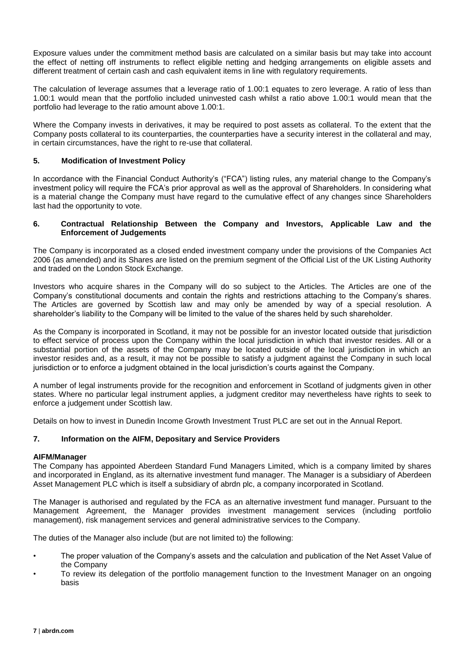Exposure values under the commitment method basis are calculated on a similar basis but may take into account the effect of netting off instruments to reflect eligible netting and hedging arrangements on eligible assets and different treatment of certain cash and cash equivalent items in line with regulatory requirements.

The calculation of leverage assumes that a leverage ratio of 1.00:1 equates to zero leverage. A ratio of less than 1.00:1 would mean that the portfolio included uninvested cash whilst a ratio above 1.00:1 would mean that the portfolio had leverage to the ratio amount above 1.00:1.

Where the Company invests in derivatives, it may be required to post assets as collateral. To the extent that the Company posts collateral to its counterparties, the counterparties have a security interest in the collateral and may, in certain circumstances, have the right to re-use that collateral.

#### **5. Modification of Investment Policy**

In accordance with the Financial Conduct Authority's ("FCA") listing rules, any material change to the Company's investment policy will require the FCA's prior approval as well as the approval of Shareholders. In considering what is a material change the Company must have regard to the cumulative effect of any changes since Shareholders last had the opportunity to vote.

#### **6. Contractual Relationship Between the Company and Investors, Applicable Law and the Enforcement of Judgements**

The Company is incorporated as a closed ended investment company under the provisions of the Companies Act 2006 (as amended) and its Shares are listed on the premium segment of the Official List of the UK Listing Authority and traded on the London Stock Exchange.

Investors who acquire shares in the Company will do so subject to the Articles. The Articles are one of the Company's constitutional documents and contain the rights and restrictions attaching to the Company's shares. The Articles are governed by Scottish law and may only be amended by way of a special resolution. A shareholder's liability to the Company will be limited to the value of the shares held by such shareholder.

As the Company is incorporated in Scotland, it may not be possible for an investor located outside that jurisdiction to effect service of process upon the Company within the local jurisdiction in which that investor resides. All or a substantial portion of the assets of the Company may be located outside of the local jurisdiction in which an investor resides and, as a result, it may not be possible to satisfy a judgment against the Company in such local jurisdiction or to enforce a judgment obtained in the local jurisdiction's courts against the Company.

A number of legal instruments provide for the recognition and enforcement in Scotland of judgments given in other states. Where no particular legal instrument applies, a judgment creditor may nevertheless have rights to seek to enforce a judgement under Scottish law.

Details on how to invest in Dunedin Income Growth Investment Trust PLC are set out in the Annual Report.

#### **7. Information on the AIFM, Depositary and Service Providers**

#### **AIFM/Manager**

The Company has appointed Aberdeen Standard Fund Managers Limited, which is a company limited by shares and incorporated in England, as its alternative investment fund manager. The Manager is a subsidiary of Aberdeen Asset Management PLC which is itself a subsidiary of abrdn plc, a company incorporated in Scotland.

The Manager is authorised and regulated by the FCA as an alternative investment fund manager. Pursuant to the Management Agreement, the Manager provides investment management services (including portfolio management), risk management services and general administrative services to the Company.

The duties of the Manager also include (but are not limited to) the following:

- The proper valuation of the Company's assets and the calculation and publication of the Net Asset Value of the Company
- To review its delegation of the portfolio management function to the Investment Manager on an ongoing basis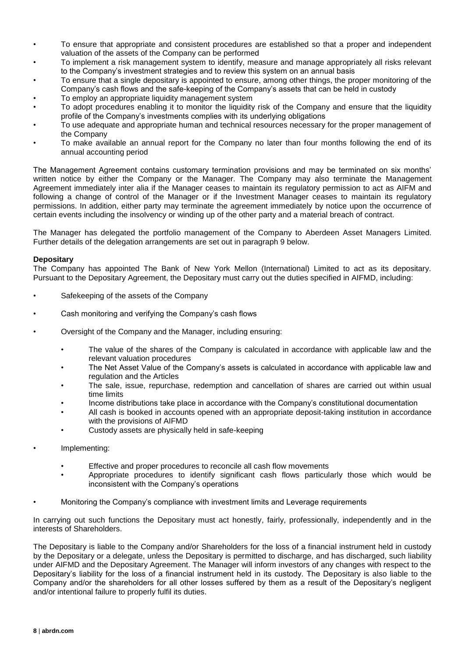- To ensure that appropriate and consistent procedures are established so that a proper and independent valuation of the assets of the Company can be performed
- To implement a risk management system to identify, measure and manage appropriately all risks relevant to the Company's investment strategies and to review this system on an annual basis
- To ensure that a single depositary is appointed to ensure, among other things, the proper monitoring of the Company's cash flows and the safe-keeping of the Company's assets that can be held in custody
- To employ an appropriate liquidity management system
- To adopt procedures enabling it to monitor the liquidity risk of the Company and ensure that the liquidity profile of the Company's investments complies with its underlying obligations
- To use adequate and appropriate human and technical resources necessary for the proper management of the Company
- To make available an annual report for the Company no later than four months following the end of its annual accounting period

The Management Agreement contains customary termination provisions and may be terminated on six months' written notice by either the Company or the Manager. The Company may also terminate the Management Agreement immediately inter alia if the Manager ceases to maintain its regulatory permission to act as AIFM and following a change of control of the Manager or if the Investment Manager ceases to maintain its regulatory permissions. In addition, either party may terminate the agreement immediately by notice upon the occurrence of certain events including the insolvency or winding up of the other party and a material breach of contract.

The Manager has delegated the portfolio management of the Company to Aberdeen Asset Managers Limited. Further details of the delegation arrangements are set out in paragraph 9 below.

#### **Depositary**

The Company has appointed The Bank of New York Mellon (International) Limited to act as its depositary. Pursuant to the Depositary Agreement, the Depositary must carry out the duties specified in AIFMD, including:

- Safekeeping of the assets of the Company
- Cash monitoring and verifying the Company's cash flows
- Oversight of the Company and the Manager, including ensuring:
	- The value of the shares of the Company is calculated in accordance with applicable law and the relevant valuation procedures
	- The Net Asset Value of the Company's assets is calculated in accordance with applicable law and regulation and the Articles
	- The sale, issue, repurchase, redemption and cancellation of shares are carried out within usual time limits
	- Income distributions take place in accordance with the Company's constitutional documentation
	- All cash is booked in accounts opened with an appropriate deposit-taking institution in accordance with the provisions of AIFMD
	- Custody assets are physically held in safe-keeping
- Implementing:
	- Effective and proper procedures to reconcile all cash flow movements
	- Appropriate procedures to identify significant cash flows particularly those which would be inconsistent with the Company's operations
	- Monitoring the Company's compliance with investment limits and Leverage requirements

In carrying out such functions the Depositary must act honestly, fairly, professionally, independently and in the interests of Shareholders.

The Depositary is liable to the Company and/or Shareholders for the loss of a financial instrument held in custody by the Depositary or a delegate, unless the Depositary is permitted to discharge, and has discharged, such liability under AIFMD and the Depositary Agreement. The Manager will inform investors of any changes with respect to the Depositary's liability for the loss of a financial instrument held in its custody. The Depositary is also liable to the Company and/or the shareholders for all other losses suffered by them as a result of the Depositary's negligent and/or intentional failure to properly fulfil its duties.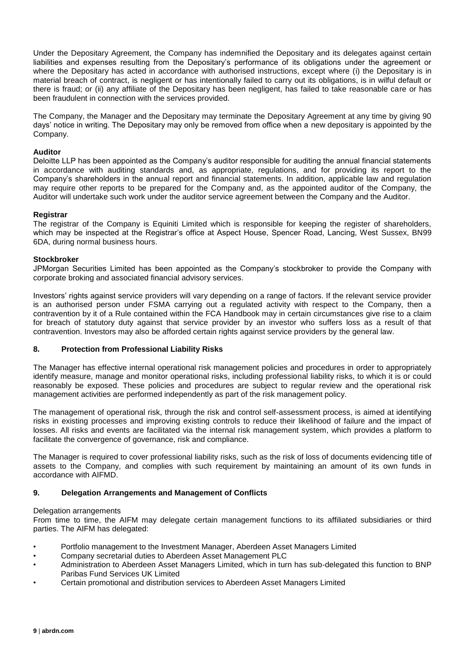Under the Depositary Agreement, the Company has indemnified the Depositary and its delegates against certain liabilities and expenses resulting from the Depositary's performance of its obligations under the agreement or where the Depositary has acted in accordance with authorised instructions, except where (i) the Depositary is in material breach of contract, is negligent or has intentionally failed to carry out its obligations, is in wilful default or there is fraud; or (ii) any affiliate of the Depositary has been negligent, has failed to take reasonable care or has been fraudulent in connection with the services provided.

The Company, the Manager and the Depositary may terminate the Depositary Agreement at any time by giving 90 days' notice in writing. The Depositary may only be removed from office when a new depositary is appointed by the Company.

#### **Auditor**

Deloitte LLP has been appointed as the Company's auditor responsible for auditing the annual financial statements in accordance with auditing standards and, as appropriate, regulations, and for providing its report to the Company's shareholders in the annual report and financial statements. In addition, applicable law and regulation may require other reports to be prepared for the Company and, as the appointed auditor of the Company, the Auditor will undertake such work under the auditor service agreement between the Company and the Auditor.

#### **Registrar**

The registrar of the Company is Equiniti Limited which is responsible for keeping the register of shareholders, which may be inspected at the Registrar's office at Aspect House, Spencer Road, Lancing, West Sussex, BN99 6DA, during normal business hours.

#### **Stockbroker**

JPMorgan Securities Limited has been appointed as the Company's stockbroker to provide the Company with corporate broking and associated financial advisory services.

Investors' rights against service providers will vary depending on a range of factors. If the relevant service provider is an authorised person under FSMA carrying out a regulated activity with respect to the Company, then a contravention by it of a Rule contained within the FCA Handbook may in certain circumstances give rise to a claim for breach of statutory duty against that service provider by an investor who suffers loss as a result of that contravention. Investors may also be afforded certain rights against service providers by the general law.

#### **8. Protection from Professional Liability Risks**

The Manager has effective internal operational risk management policies and procedures in order to appropriately identify measure, manage and monitor operational risks, including professional liability risks, to which it is or could reasonably be exposed. These policies and procedures are subject to regular review and the operational risk management activities are performed independently as part of the risk management policy.

The management of operational risk, through the risk and control self-assessment process, is aimed at identifying risks in existing processes and improving existing controls to reduce their likelihood of failure and the impact of losses. All risks and events are facilitated via the internal risk management system, which provides a platform to facilitate the convergence of governance, risk and compliance.

The Manager is required to cover professional liability risks, such as the risk of loss of documents evidencing title of assets to the Company, and complies with such requirement by maintaining an amount of its own funds in accordance with AIFMD.

#### **9. Delegation Arrangements and Management of Conflicts**

#### Delegation arrangements

From time to time, the AIFM may delegate certain management functions to its affiliated subsidiaries or third parties. The AIFM has delegated:

- Portfolio management to the Investment Manager, Aberdeen Asset Managers Limited
- Company secretarial duties to Aberdeen Asset Management PLC
- Administration to Aberdeen Asset Managers Limited, which in turn has sub-delegated this function to BNP Paribas Fund Services UK Limited
- Certain promotional and distribution services to Aberdeen Asset Managers Limited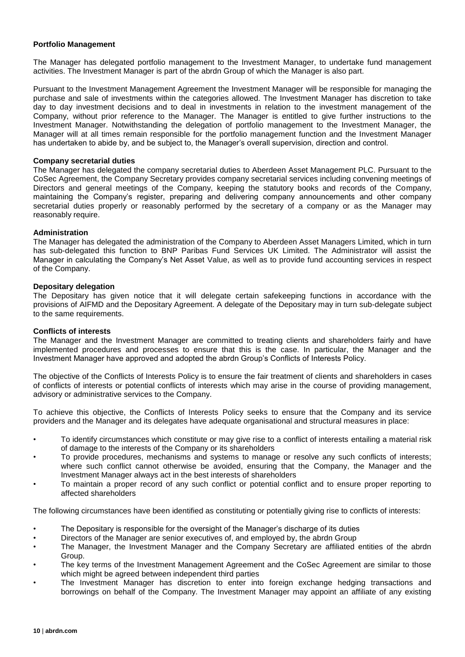#### **Portfolio Management**

The Manager has delegated portfolio management to the Investment Manager, to undertake fund management activities. The Investment Manager is part of the abrdn Group of which the Manager is also part.

Pursuant to the Investment Management Agreement the Investment Manager will be responsible for managing the purchase and sale of investments within the categories allowed. The Investment Manager has discretion to take day to day investment decisions and to deal in investments in relation to the investment management of the Company, without prior reference to the Manager. The Manager is entitled to give further instructions to the Investment Manager. Notwithstanding the delegation of portfolio management to the Investment Manager, the Manager will at all times remain responsible for the portfolio management function and the Investment Manager has undertaken to abide by, and be subject to, the Manager's overall supervision, direction and control.

#### **Company secretarial duties**

The Manager has delegated the company secretarial duties to Aberdeen Asset Management PLC. Pursuant to the CoSec Agreement, the Company Secretary provides company secretarial services including convening meetings of Directors and general meetings of the Company, keeping the statutory books and records of the Company, maintaining the Company's register, preparing and delivering company announcements and other company secretarial duties properly or reasonably performed by the secretary of a company or as the Manager may reasonably require.

#### **Administration**

The Manager has delegated the administration of the Company to Aberdeen Asset Managers Limited, which in turn has sub-delegated this function to BNP Paribas Fund Services UK Limited. The Administrator will assist the Manager in calculating the Company's Net Asset Value, as well as to provide fund accounting services in respect of the Company.

#### **Depositary delegation**

The Depositary has given notice that it will delegate certain safekeeping functions in accordance with the provisions of AIFMD and the Depositary Agreement. A delegate of the Depositary may in turn sub-delegate subject to the same requirements.

#### **Conflicts of interests**

The Manager and the Investment Manager are committed to treating clients and shareholders fairly and have implemented procedures and processes to ensure that this is the case. In particular, the Manager and the Investment Manager have approved and adopted the abrdn Group's Conflicts of Interests Policy.

The objective of the Conflicts of Interests Policy is to ensure the fair treatment of clients and shareholders in cases of conflicts of interests or potential conflicts of interests which may arise in the course of providing management, advisory or administrative services to the Company.

To achieve this objective, the Conflicts of Interests Policy seeks to ensure that the Company and its service providers and the Manager and its delegates have adequate organisational and structural measures in place:

- To identify circumstances which constitute or may give rise to a conflict of interests entailing a material risk of damage to the interests of the Company or its shareholders
- To provide procedures, mechanisms and systems to manage or resolve any such conflicts of interests; where such conflict cannot otherwise be avoided, ensuring that the Company, the Manager and the Investment Manager always act in the best interests of shareholders
- To maintain a proper record of any such conflict or potential conflict and to ensure proper reporting to affected shareholders

The following circumstances have been identified as constituting or potentially giving rise to conflicts of interests:

- The Depositary is responsible for the oversight of the Manager's discharge of its duties
- Directors of the Manager are senior executives of, and employed by, the abrdn Group
- The Manager, the Investment Manager and the Company Secretary are affiliated entities of the abrdn Group.
- The key terms of the Investment Management Agreement and the CoSec Agreement are similar to those which might be agreed between independent third parties
- The Investment Manager has discretion to enter into foreign exchange hedging transactions and borrowings on behalf of the Company. The Investment Manager may appoint an affiliate of any existing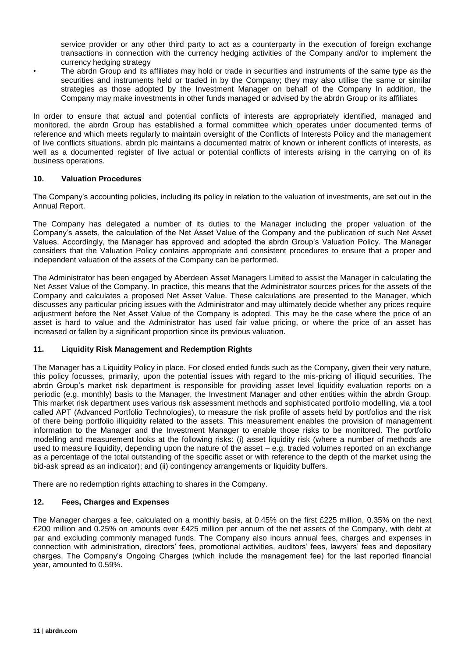service provider or any other third party to act as a counterparty in the execution of foreign exchange transactions in connection with the currency hedging activities of the Company and/or to implement the currency hedging strategy

• The abrdn Group and its affiliates may hold or trade in securities and instruments of the same type as the securities and instruments held or traded in by the Company; they may also utilise the same or similar strategies as those adopted by the Investment Manager on behalf of the Company In addition, the Company may make investments in other funds managed or advised by the abrdn Group or its affiliates

In order to ensure that actual and potential conflicts of interests are appropriately identified, managed and monitored, the abrdn Group has established a formal committee which operates under documented terms of reference and which meets regularly to maintain oversight of the Conflicts of Interests Policy and the management of live conflicts situations. abrdn plc maintains a documented matrix of known or inherent conflicts of interests, as well as a documented register of live actual or potential conflicts of interests arising in the carrying on of its business operations.

#### **10. Valuation Procedures**

The Company's accounting policies, including its policy in relation to the valuation of investments, are set out in the Annual Report.

The Company has delegated a number of its duties to the Manager including the proper valuation of the Company's assets, the calculation of the Net Asset Value of the Company and the publication of such Net Asset Values. Accordingly, the Manager has approved and adopted the abrdn Group's Valuation Policy. The Manager considers that the Valuation Policy contains appropriate and consistent procedures to ensure that a proper and independent valuation of the assets of the Company can be performed.

The Administrator has been engaged by Aberdeen Asset Managers Limited to assist the Manager in calculating the Net Asset Value of the Company. In practice, this means that the Administrator sources prices for the assets of the Company and calculates a proposed Net Asset Value. These calculations are presented to the Manager, which discusses any particular pricing issues with the Administrator and may ultimately decide whether any prices require adjustment before the Net Asset Value of the Company is adopted. This may be the case where the price of an asset is hard to value and the Administrator has used fair value pricing, or where the price of an asset has increased or fallen by a significant proportion since its previous valuation.

#### **11. Liquidity Risk Management and Redemption Rights**

The Manager has a Liquidity Policy in place. For closed ended funds such as the Company, given their very nature, this policy focusses, primarily, upon the potential issues with regard to the mis-pricing of illiquid securities. The abrdn Group's market risk department is responsible for providing asset level liquidity evaluation reports on a periodic (e.g. monthly) basis to the Manager, the Investment Manager and other entities within the abrdn Group. This market risk department uses various risk assessment methods and sophisticated portfolio modelling, via a tool called APT (Advanced Portfolio Technologies), to measure the risk profile of assets held by portfolios and the risk of there being portfolio illiquidity related to the assets. This measurement enables the provision of management information to the Manager and the Investment Manager to enable those risks to be monitored. The portfolio modelling and measurement looks at the following risks: (i) asset liquidity risk (where a number of methods are used to measure liquidity, depending upon the nature of the asset – e.g. traded volumes reported on an exchange as a percentage of the total outstanding of the specific asset or with reference to the depth of the market using the bid-ask spread as an indicator); and (ii) contingency arrangements or liquidity buffers.

There are no redemption rights attaching to shares in the Company.

#### **12. Fees, Charges and Expenses**

The Manager charges a fee, calculated on a monthly basis, at 0.45% on the first £225 million, 0.35% on the next £200 million and 0.25% on amounts over £425 million per annum of the net assets of the Company, with debt at par and excluding commonly managed funds. The Company also incurs annual fees, charges and expenses in connection with administration, directors' fees, promotional activities, auditors' fees, lawyers' fees and depositary charges. The Company's Ongoing Charges (which include the management fee) for the last reported financial year, amounted to 0.59%.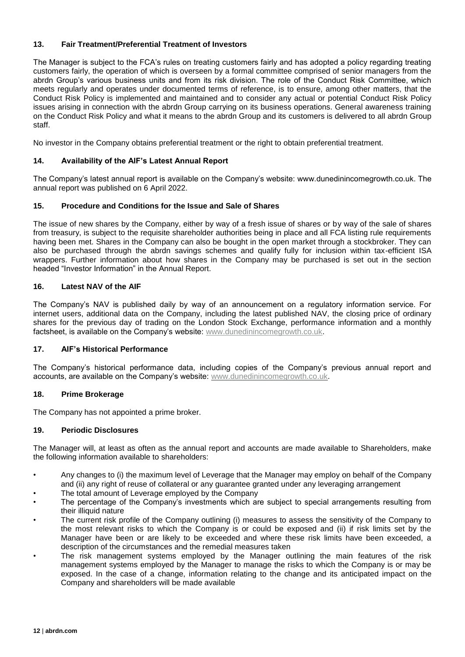#### **13. Fair Treatment/Preferential Treatment of Investors**

The Manager is subject to the FCA's rules on treating customers fairly and has adopted a policy regarding treating customers fairly, the operation of which is overseen by a formal committee comprised of senior managers from the abrdn Group's various business units and from its risk division. The role of the Conduct Risk Committee, which meets regularly and operates under documented terms of reference, is to ensure, among other matters, that the Conduct Risk Policy is implemented and maintained and to consider any actual or potential Conduct Risk Policy issues arising in connection with the abrdn Group carrying on its business operations. General awareness training on the Conduct Risk Policy and what it means to the abrdn Group and its customers is delivered to all abrdn Group staff.

No investor in the Company obtains preferential treatment or the right to obtain preferential treatment.

#### **14. Availability of the AIF's Latest Annual Report**

The Company's latest annual report is available on the Company's website: www.dunedinincomegrowth.co.uk. The annual report was published on 6 April 2022.

#### **15. Procedure and Conditions for the Issue and Sale of Shares**

The issue of new shares by the Company, either by way of a fresh issue of shares or by way of the sale of shares from treasury, is subject to the requisite shareholder authorities being in place and all FCA listing rule requirements having been met. Shares in the Company can also be bought in the open market through a stockbroker. They can also be purchased through the abrdn savings schemes and qualify fully for inclusion within tax-efficient ISA wrappers. Further information about how shares in the Company may be purchased is set out in the section headed "Investor Information" in the Annual Report.

#### **16. Latest NAV of the AIF**

The Company's NAV is published daily by way of an announcement on a regulatory information service. For internet users, additional data on the Company, including the latest published NAV, the closing price of ordinary shares for the previous day of trading on the London Stock Exchange, performance information and a monthly factsheet, is available on the Company's website: [www.dunedinincomegrowth.co.uk.](http://www.dunedinincomegrowth.co.uk/)

#### **17. AIF's Historical Performance**

The Company's historical performance data, including copies of the Company's previous annual report and accounts, are available on the Company's website: [www.dunedinincomegrowth.co.uk.](http://www.dunedinincomegrowth.co.uk/)

#### **18. Prime Brokerage**

The Company has not appointed a prime broker.

#### **19. Periodic Disclosures**

The Manager will, at least as often as the annual report and accounts are made available to Shareholders, make the following information available to shareholders:

- Any changes to (i) the maximum level of Leverage that the Manager may employ on behalf of the Company and (ii) any right of reuse of collateral or any guarantee granted under any leveraging arrangement
- The total amount of Leverage employed by the Company
- The percentage of the Company's investments which are subject to special arrangements resulting from their illiquid nature
- The current risk profile of the Company outlining (i) measures to assess the sensitivity of the Company to the most relevant risks to which the Company is or could be exposed and (ii) if risk limits set by the Manager have been or are likely to be exceeded and where these risk limits have been exceeded, a description of the circumstances and the remedial measures taken
- The risk management systems employed by the Manager outlining the main features of the risk management systems employed by the Manager to manage the risks to which the Company is or may be exposed. In the case of a change, information relating to the change and its anticipated impact on the Company and shareholders will be made available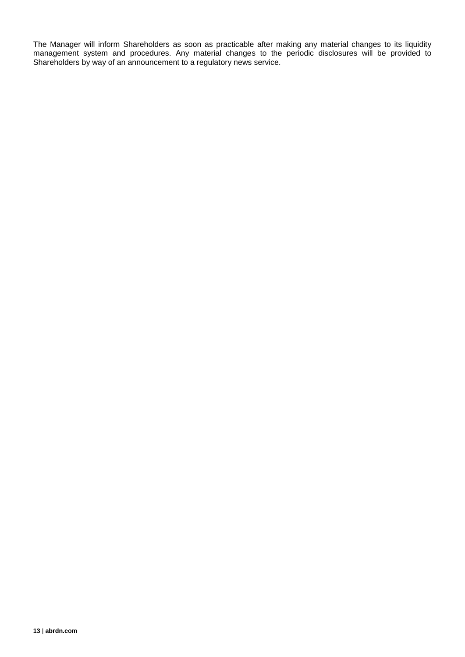The Manager will inform Shareholders as soon as practicable after making any material changes to its liquidity management system and procedures. Any material changes to the periodic disclosures will be provided to Shareholders by way of an announcement to a regulatory news service.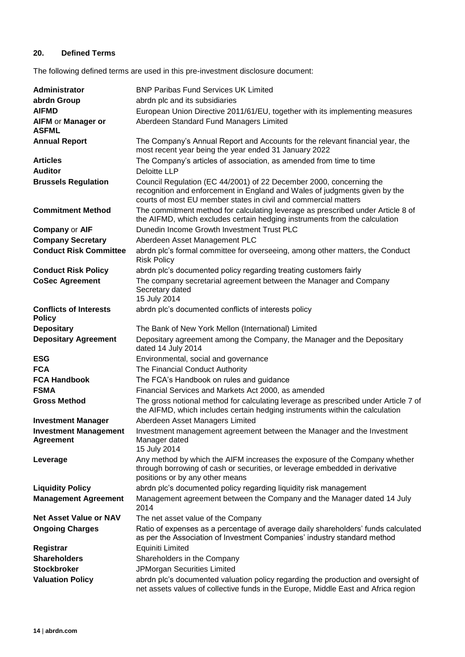#### **20. Defined Terms**

The following defined terms are used in this pre-investment disclosure document:

| Administrator                                    | <b>BNP Paribas Fund Services UK Limited</b>                                                                                                                                                                          |
|--------------------------------------------------|----------------------------------------------------------------------------------------------------------------------------------------------------------------------------------------------------------------------|
| abrdn Group                                      | abrdn plc and its subsidiaries                                                                                                                                                                                       |
| <b>AIFMD</b>                                     | European Union Directive 2011/61/EU, together with its implementing measures                                                                                                                                         |
| AIFM or Manager or<br><b>ASFML</b>               | Aberdeen Standard Fund Managers Limited                                                                                                                                                                              |
| <b>Annual Report</b>                             | The Company's Annual Report and Accounts for the relevant financial year, the<br>most recent year being the year ended 31 January 2022                                                                               |
| <b>Articles</b>                                  | The Company's articles of association, as amended from time to time                                                                                                                                                  |
| <b>Auditor</b>                                   | <b>Deloitte LLP</b>                                                                                                                                                                                                  |
| <b>Brussels Regulation</b>                       | Council Regulation (EC 44/2001) of 22 December 2000, concerning the<br>recognition and enforcement in England and Wales of judgments given by the<br>courts of most EU member states in civil and commercial matters |
| <b>Commitment Method</b>                         | The commitment method for calculating leverage as prescribed under Article 8 of<br>the AIFMD, which excludes certain hedging instruments from the calculation                                                        |
| <b>Company or AIF</b>                            | Dunedin Income Growth Investment Trust PLC                                                                                                                                                                           |
| <b>Company Secretary</b>                         | Aberdeen Asset Management PLC                                                                                                                                                                                        |
| <b>Conduct Risk Committee</b>                    | abrdn plc's formal committee for overseeing, among other matters, the Conduct<br><b>Risk Policy</b>                                                                                                                  |
| <b>Conduct Risk Policy</b>                       | abrdn plc's documented policy regarding treating customers fairly                                                                                                                                                    |
| <b>CoSec Agreement</b>                           | The company secretarial agreement between the Manager and Company<br>Secretary dated<br>15 July 2014                                                                                                                 |
| <b>Conflicts of Interests</b><br><b>Policy</b>   | abrdn plc's documented conflicts of interests policy                                                                                                                                                                 |
| <b>Depositary</b>                                | The Bank of New York Mellon (International) Limited                                                                                                                                                                  |
| <b>Depositary Agreement</b>                      | Depositary agreement among the Company, the Manager and the Depositary<br>dated 14 July 2014                                                                                                                         |
| <b>ESG</b>                                       | Environmental, social and governance                                                                                                                                                                                 |
| <b>FCA</b>                                       | The Financial Conduct Authority                                                                                                                                                                                      |
| <b>FCA Handbook</b>                              | The FCA's Handbook on rules and guidance                                                                                                                                                                             |
| <b>FSMA</b>                                      | Financial Services and Markets Act 2000, as amended                                                                                                                                                                  |
| <b>Gross Method</b>                              | The gross notional method for calculating leverage as prescribed under Article 7 of<br>the AIFMD, which includes certain hedging instruments within the calculation                                                  |
| <b>Investment Manager</b>                        | Aberdeen Asset Managers Limited                                                                                                                                                                                      |
| <b>Investment Management</b><br><b>Agreement</b> | Investment management agreement between the Manager and the Investment<br>Manager dated<br>15 July 2014                                                                                                              |
| Leverage                                         | Any method by which the AIFM increases the exposure of the Company whether<br>through borrowing of cash or securities, or leverage embedded in derivative<br>positions or by any other means                         |
| <b>Liquidity Policy</b>                          | abrdn plc's documented policy regarding liquidity risk management                                                                                                                                                    |
| <b>Management Agreement</b>                      | Management agreement between the Company and the Manager dated 14 July<br>2014                                                                                                                                       |
| <b>Net Asset Value or NAV</b>                    | The net asset value of the Company                                                                                                                                                                                   |
| <b>Ongoing Charges</b>                           | Ratio of expenses as a percentage of average daily shareholders' funds calculated<br>as per the Association of Investment Companies' industry standard method                                                        |
| Registrar                                        | <b>Equiniti Limited</b>                                                                                                                                                                                              |
| <b>Shareholders</b>                              | Shareholders in the Company                                                                                                                                                                                          |
| <b>Stockbroker</b>                               | JPMorgan Securities Limited                                                                                                                                                                                          |
| <b>Valuation Policy</b>                          | abrdn plc's documented valuation policy regarding the production and oversight of<br>net assets values of collective funds in the Europe, Middle East and Africa region                                              |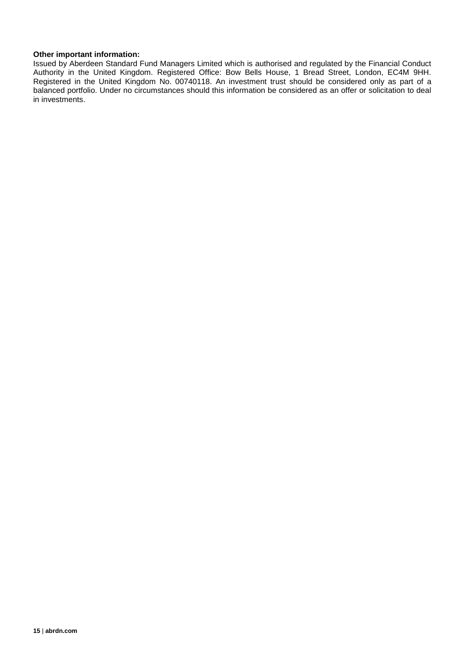#### **Other important information:**

Issued by Aberdeen Standard Fund Managers Limited which is authorised and regulated by the Financial Conduct Authority in the United Kingdom. Registered Office: Bow Bells House, 1 Bread Street, London, EC4M 9HH. Registered in the United Kingdom No. 00740118. An investment trust should be considered only as part of a balanced portfolio. Under no circumstances should this information be considered as an offer or solicitation to deal in investments.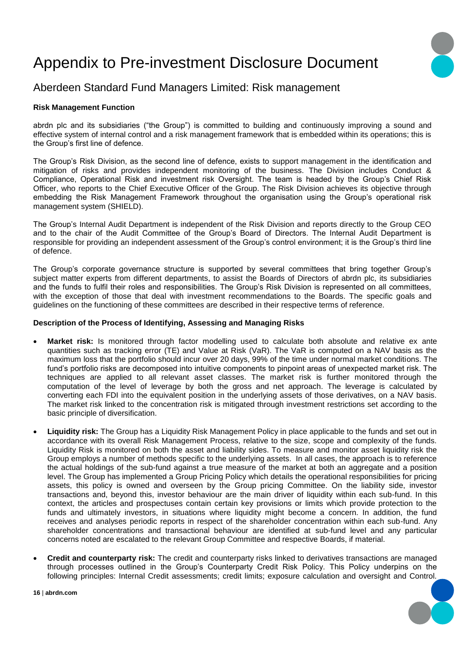### Appendix to Pre-investment Disclosure Document

### Aberdeen Standard Fund Managers Limited: Risk management

#### **Risk Management Function**

abrdn plc and its subsidiaries ("the Group") is committed to building and continuously improving a sound and effective system of internal control and a risk management framework that is embedded within its operations; this is the Group's first line of defence.

The Group's Risk Division, as the second line of defence, exists to support management in the identification and mitigation of risks and provides independent monitoring of the business. The Division includes Conduct & Compliance, Operational Risk and investment risk Oversight. The team is headed by the Group's Chief Risk Officer, who reports to the Chief Executive Officer of the Group. The Risk Division achieves its objective through embedding the Risk Management Framework throughout the organisation using the Group's operational risk management system (SHIELD).

The Group's Internal Audit Department is independent of the Risk Division and reports directly to the Group CEO and to the chair of the Audit Committee of the Group's Board of Directors. The Internal Audit Department is responsible for providing an independent assessment of the Group's control environment; it is the Group's third line of defence.

The Group's corporate governance structure is supported by several committees that bring together Group's subject matter experts from different departments, to assist the Boards of Directors of abrdn plc, its subsidiaries and the funds to fulfil their roles and responsibilities. The Group's Risk Division is represented on all committees, with the exception of those that deal with investment recommendations to the Boards. The specific goals and guidelines on the functioning of these committees are described in their respective terms of reference.

#### **Description of the Process of Identifying, Assessing and Managing Risks**

- **Market risk:** Is monitored through factor modelling used to calculate both absolute and relative ex ante quantities such as tracking error (TE) and Value at Risk (VaR). The VaR is computed on a NAV basis as the maximum loss that the portfolio should incur over 20 days, 99% of the time under normal market conditions. The fund's portfolio risks are decomposed into intuitive components to pinpoint areas of unexpected market risk. The techniques are applied to all relevant asset classes. The market risk is further monitored through the computation of the level of leverage by both the gross and net approach. The leverage is calculated by converting each FDI into the equivalent position in the underlying assets of those derivatives, on a NAV basis. The market risk linked to the concentration risk is mitigated through investment restrictions set according to the basic principle of diversification.
- **Liquidity risk:** The Group has a Liquidity Risk Management Policy in place applicable to the funds and set out in accordance with its overall Risk Management Process, relative to the size, scope and complexity of the funds. Liquidity Risk is monitored on both the asset and liability sides. To measure and monitor asset liquidity risk the Group employs a number of methods specific to the underlying assets. In all cases, the approach is to reference the actual holdings of the sub-fund against a true measure of the market at both an aggregate and a position level. The Group has implemented a Group Pricing Policy which details the operational responsibilities for pricing assets, this policy is owned and overseen by the Group pricing Committee. On the liability side, investor transactions and, beyond this, investor behaviour are the main driver of liquidity within each sub-fund. In this context, the articles and prospectuses contain certain key provisions or limits which provide protection to the funds and ultimately investors, in situations where liquidity might become a concern. In addition, the fund receives and analyses periodic reports in respect of the shareholder concentration within each sub-fund. Any shareholder concentrations and transactional behaviour are identified at sub-fund level and any particular concerns noted are escalated to the relevant Group Committee and respective Boards, if material.
- **Credit and counterparty risk:** The credit and counterparty risks linked to derivatives transactions are managed through processes outlined in the Group's Counterparty Credit Risk Policy. This Policy underpins on the following principles: Internal Credit assessments; credit limits; exposure calculation and oversight and Control.

**16** | **abrdn.com**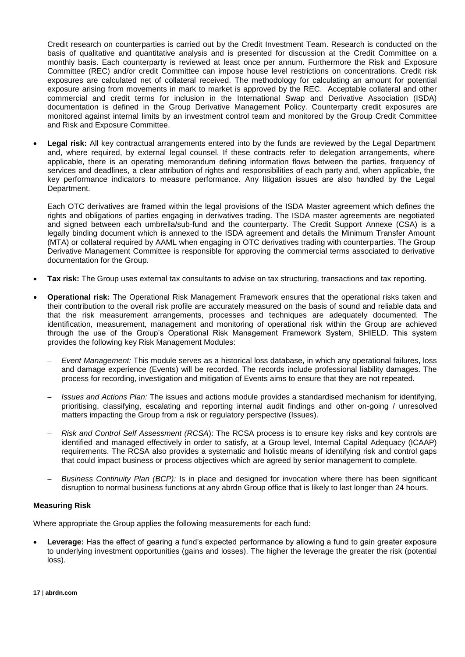Credit research on counterparties is carried out by the Credit Investment Team. Research is conducted on the basis of qualitative and quantitative analysis and is presented for discussion at the Credit Committee on a monthly basis. Each counterparty is reviewed at least once per annum. Furthermore the Risk and Exposure Committee (REC) and/or credit Committee can impose house level restrictions on concentrations. Credit risk exposures are calculated net of collateral received. The methodology for calculating an amount for potential exposure arising from movements in mark to market is approved by the REC. Acceptable collateral and other commercial and credit terms for inclusion in the International Swap and Derivative Association (ISDA) documentation is defined in the Group Derivative Management Policy. Counterparty credit exposures are monitored against internal limits by an investment control team and monitored by the Group Credit Committee and Risk and Exposure Committee.

 **Legal risk:** All key contractual arrangements entered into by the funds are reviewed by the Legal Department and, where required, by external legal counsel. If these contracts refer to delegation arrangements, where applicable, there is an operating memorandum defining information flows between the parties, frequency of services and deadlines, a clear attribution of rights and responsibilities of each party and, when applicable, the key performance indicators to measure performance. Any litigation issues are also handled by the Legal Department.

Each OTC derivatives are framed within the legal provisions of the ISDA Master agreement which defines the rights and obligations of parties engaging in derivatives trading. The ISDA master agreements are negotiated and signed between each umbrella/sub-fund and the counterparty. The Credit Support Annexe (CSA) is a legally binding document which is annexed to the ISDA agreement and details the Minimum Transfer Amount (MTA) or collateral required by AAML when engaging in OTC derivatives trading with counterparties. The Group Derivative Management Committee is responsible for approving the commercial terms associated to derivative documentation for the Group.

- **Tax risk:** The Group uses external tax consultants to advise on tax structuring, transactions and tax reporting.
- **Operational risk:** The Operational Risk Management Framework ensures that the operational risks taken and their contribution to the overall risk profile are accurately measured on the basis of sound and reliable data and that the risk measurement arrangements, processes and techniques are adequately documented. The identification, measurement, management and monitoring of operational risk within the Group are achieved through the use of the Group's Operational Risk Management Framework System, SHIELD. This system provides the following key Risk Management Modules:
	- *Event Management:* This module serves as a historical loss database, in which any operational failures, loss and damage experience (Events) will be recorded. The records include professional liability damages. The process for recording, investigation and mitigation of Events aims to ensure that they are not repeated.
	- *Issues and Actions Plan:* The issues and actions module provides a standardised mechanism for identifying, prioritising, classifying, escalating and reporting internal audit findings and other on-going / unresolved matters impacting the Group from a risk or regulatory perspective (Issues).
	- *Risk and Control Self Assessment (RCSA*): The RCSA process is to ensure key risks and key controls are identified and managed effectively in order to satisfy, at a Group level, Internal Capital Adequacy (ICAAP) requirements. The RCSA also provides a systematic and holistic means of identifying risk and control gaps that could impact business or process objectives which are agreed by senior management to complete.
	- *Business Continuity Plan (BCP):* Is in place and designed for invocation where there has been significant disruption to normal business functions at any abrdn Group office that is likely to last longer than 24 hours.

#### **Measuring Risk**

Where appropriate the Group applies the following measurements for each fund:

 **Leverage:** Has the effect of gearing a fund's expected performance by allowing a fund to gain greater exposure to underlying investment opportunities (gains and losses). The higher the leverage the greater the risk (potential loss).